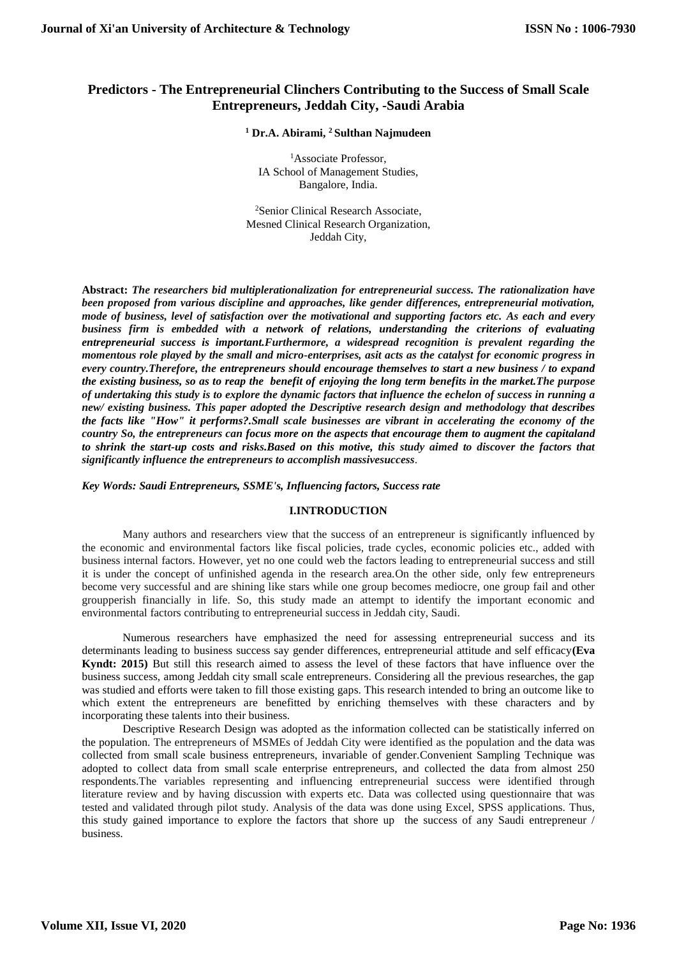# **Predictors - The Entrepreneurial Clinchers Contributing to the Success of Small Scale Entrepreneurs, Jeddah City, -Saudi Arabia**

#### **<sup>1</sup> Dr.A. Abirami, <sup>2</sup> Sulthan Najmudeen**

<sup>1</sup>Associate Professor. IA School of Management Studies, Bangalore, India.

<sup>2</sup>Senior Clinical Research Associate, Mesned Clinical Research Organization, Jeddah City,

**Abstract:** *The researchers bid multiplerationalization for entrepreneurial success. The rationalization have been proposed from various discipline and approaches, like gender differences, entrepreneurial motivation, mode of business, level of satisfaction over the motivational and supporting factors etc. As each and every business firm is embedded with a network of relations, understanding the criterions of evaluating entrepreneurial success is important.Furthermore, a widespread recognition is prevalent regarding the momentous role played by the small and micro-enterprises, asit acts as the catalyst for economic progress in every country.Therefore, the entrepreneurs should encourage themselves to start a new business / to expand the existing business, so as to reap the benefit of enjoying the long term benefits in the market.The purpose of undertaking this study is to explore the dynamic factors that influence the echelon of success in running a new/ existing business. This paper adopted the Descriptive research design and methodology that describes the facts like "How" it performs?.Small scale businesses are vibrant in accelerating the economy of the country So, the entrepreneurs can focus more on the aspects that encourage them to augment the capitaland to shrink the start-up costs and risks.Based on this motive, this study aimed to discover the factors that significantly influence the entrepreneurs to accomplish massivesuccess*.

*Key Words: Saudi Entrepreneurs, SSME's, Influencing factors, Success rate*

#### **I.INTRODUCTION**

Many authors and researchers view that the success of an entrepreneur is significantly influenced by the economic and environmental factors like fiscal policies, trade cycles, economic policies etc., added with business internal factors. However, yet no one could web the factors leading to entrepreneurial success and still it is under the concept of unfinished agenda in the research area.On the other side, only few entrepreneurs become very successful and are shining like stars while one group becomes mediocre, one group fail and other groupperish financially in life. So, this study made an attempt to identify the important economic and environmental factors contributing to entrepreneurial success in Jeddah city, Saudi.

Numerous researchers have emphasized the need for assessing entrepreneurial success and its determinants leading to business success say gender differences, entrepreneurial attitude and self efficacy**(Eva Kyndt: 2015)** But still this research aimed to assess the level of these factors that have influence over the business success, among Jeddah city small scale entrepreneurs. Considering all the previous researches, the gap was studied and efforts were taken to fill those existing gaps. This research intended to bring an outcome like to which extent the entrepreneurs are benefitted by enriching themselves with these characters and by incorporating these talents into their business.

Descriptive Research Design was adopted as the information collected can be statistically inferred on the population. The entrepreneurs of MSMEs of Jeddah City were identified as the population and the data was collected from small scale business entrepreneurs, invariable of gender.Convenient Sampling Technique was adopted to collect data from small scale enterprise entrepreneurs, and collected the data from almost 250 respondents.The variables representing and influencing entrepreneurial success were identified through literature review and by having discussion with experts etc. Data was collected using questionnaire that was tested and validated through pilot study. Analysis of the data was done using Excel, SPSS applications. Thus, this study gained importance to explore the factors that shore up the success of any Saudi entrepreneur / business.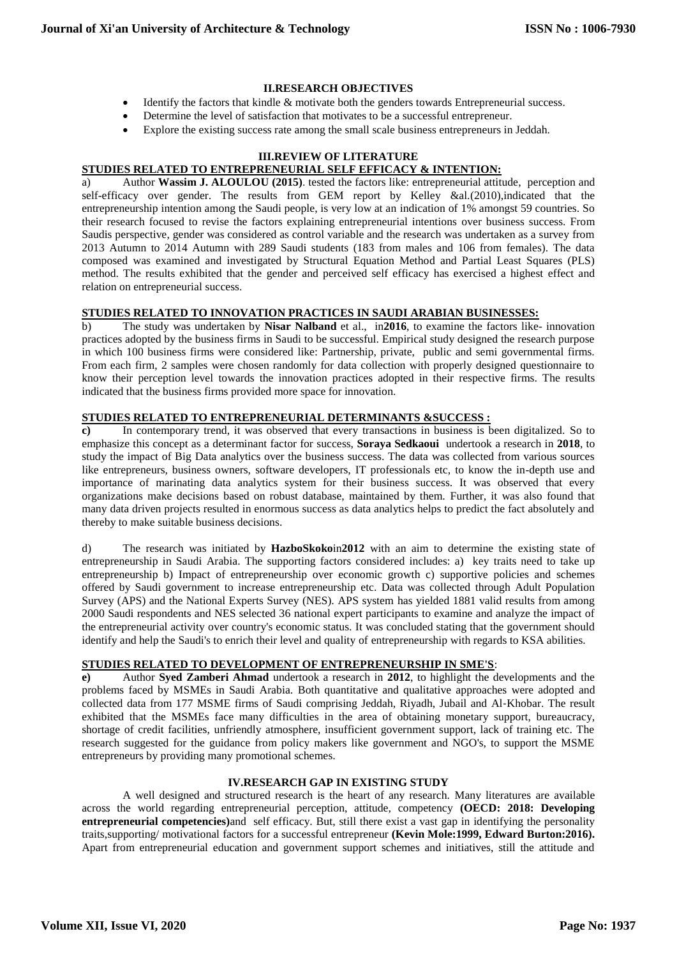#### **II.RESEARCH OBJECTIVES**

- Identify the factors that kindle & motivate both the genders towards Entrepreneurial success.
- Determine the level of satisfaction that motivates to be a successful entrepreneur.
- Explore the existing success rate among the small scale business entrepreneurs in Jeddah.

## **III.REVIEW OF LITERATURE**

# **STUDIES RELATED TO ENTREPRENEURIAL SELF EFFICACY & INTENTION:**

a) Author **[Wassim J. ALOULOU](https://www.researchgate.net/profile/Wassim_J_Aloulou2) (2015)**. tested the factors like: entrepreneurial attitude, perception and self-efficacy over gender. The results from GEM report by Kelley &al.(2010),indicated that the entrepreneurship intention among the Saudi people, is very low at an indication of 1% amongst 59 countries. So their research focused to revise the factors explaining entrepreneurial intentions over business success. From Saudis perspective, gender was considered as control variable and the research was undertaken as a survey from 2013 Autumn to 2014 Autumn with 289 Saudi students (183 from males and 106 from females). The data composed was examined and investigated by Structural Equation Method and Partial Least Squares (PLS) method. The results exhibited that the gender and perceived self efficacy has exercised a highest effect and relation on entrepreneurial success.

#### **STUDIES RELATED TO INNOVATION PRACTICES IN SAUDI ARABIAN BUSINESSES:**

b) The study was undertaken by **Nisar Nalband** et al., in**2016**, to examine the factors like- innovation practices adopted by the business firms in Saudi to be successful. Empirical study designed the research purpose in which 100 business firms were considered like: Partnership, private, public and semi governmental firms. From each firm, 2 samples were chosen randomly for data collection with properly designed questionnaire to know their perception level towards the innovation practices adopted in their respective firms. The results indicated that the business firms provided more space for innovation.

## **STUDIES RELATED TO ENTREPRENEURIAL DETERMINANTS &SUCCESS :**

**c)** In contemporary trend, it was observed that every transactions in business is been digitalized. So to emphasize this concept as a determinant factor for success, **Soraya Sedkaoui** undertook a research in **2018**, to study the impact of Big Data analytics over the business success. The data was collected from various sources like entrepreneurs, business owners, software developers, IT professionals etc, to know the in-depth use and importance of marinating data analytics system for their business success. It was observed that every organizations make decisions based on robust database, maintained by them. Further, it was also found that many data driven projects resulted in enormous success as data analytics helps to predict the fact absolutely and thereby to make suitable business decisions.

d) The research was initiated by **HazboSkoko**in**2012** with an aim to determine the existing state of entrepreneurship in Saudi Arabia. The supporting factors considered includes: a) key traits need to take up entrepreneurship b) Impact of entrepreneurship over economic growth c) supportive policies and schemes offered by Saudi government to increase entrepreneurship etc. Data was collected through Adult Population Survey (APS) and the National Experts Survey (NES). APS system has yielded 1881 valid results from among 2000 Saudi respondents and NES selected 36 national expert participants to examine and analyze the impact of the entrepreneurial activity over country's economic status. It was concluded stating that the government should identify and help the Saudi's to enrich their level and quality of entrepreneurship with regards to KSA abilities.

#### **STUDIES RELATED TO DEVELOPMENT OF ENTREPRENEURSHIP IN SME'S**:

**e)** Author **Syed Zamberi Ahmad** undertook a research in **2012**, to highlight the developments and the problems faced by MSMEs in Saudi Arabia. Both quantitative and qualitative approaches were adopted and collected data from 177 MSME firms of Saudi comprising Jeddah, Riyadh, Jubail and Al‐Khobar. The result exhibited that the MSMEs face many difficulties in the area of obtaining monetary support, bureaucracy, shortage of credit facilities, unfriendly atmosphere, insufficient government support, lack of training etc. The research suggested for the guidance from policy makers like government and NGO's, to support the MSME entrepreneurs by providing many promotional schemes.

## **IV.RESEARCH GAP IN EXISTING STUDY**

A well designed and structured research is the heart of any research. Many literatures are available across the world regarding entrepreneurial perception, attitude, competency **(OECD: 2018: Developing entrepreneurial competencies)**and self efficacy. But, still there exist a vast gap in identifying the personality traits,supporting/ motivational factors for a successful entrepreneur **(Kevin Mole:1999, Edward Burton:2016).** Apart from entrepreneurial education and government support schemes and initiatives, still the attitude and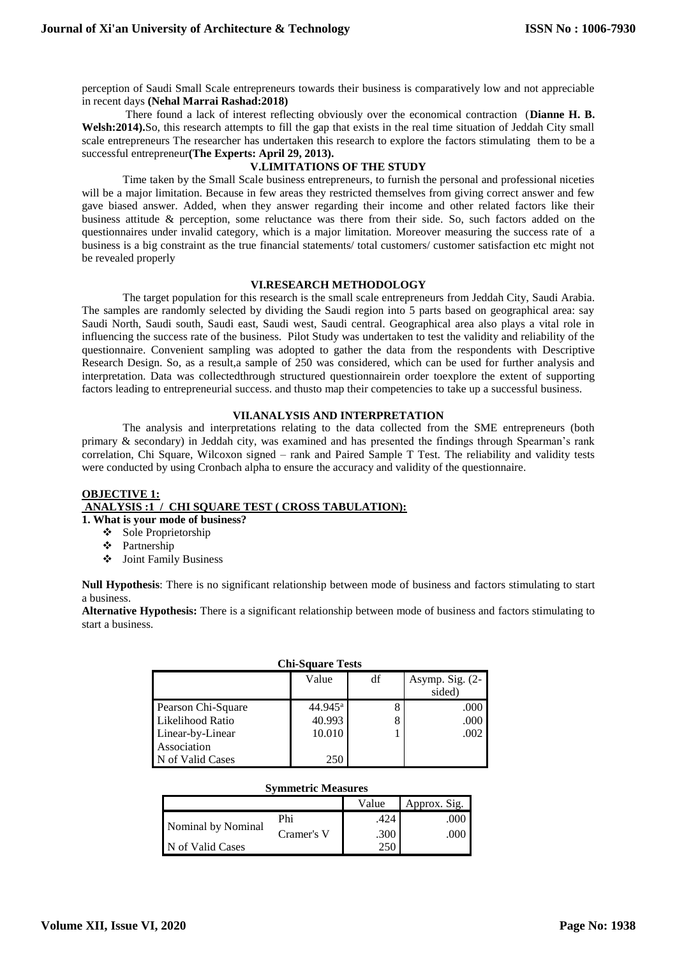perception of Saudi Small Scale entrepreneurs towards their business is comparatively low and not appreciable in recent days **(Nehal Marrai Rashad:2018)**

There found a lack of interest reflecting obviously over the economical contraction (**Dianne H. B. Welsh:2014).**So, this research attempts to fill the gap that exists in the real time situation of Jeddah City small scale entrepreneurs The researcher has undertaken this research to explore the factors stimulating them to be a successful entrepreneur**(The Experts: April 29, 2013).**

## **V.LIMITATIONS OF THE STUDY**

Time taken by the Small Scale business entrepreneurs, to furnish the personal and professional niceties will be a major limitation. Because in few areas they restricted themselves from giving correct answer and few gave biased answer. Added, when they answer regarding their income and other related factors like their business attitude & perception, some reluctance was there from their side. So, such factors added on the questionnaires under invalid category, which is a major limitation. Moreover measuring the success rate of a business is a big constraint as the true financial statements/ total customers/ customer satisfaction etc might not be revealed properly

#### **VI.RESEARCH METHODOLOGY**

The target population for this research is the small scale entrepreneurs from Jeddah City, Saudi Arabia. The samples are randomly selected by dividing the Saudi region into 5 parts based on geographical area: say Saudi North, Saudi south, Saudi east, Saudi west, Saudi central. Geographical area also plays a vital role in influencing the success rate of the business. Pilot Study was undertaken to test the validity and reliability of the questionnaire. Convenient sampling was adopted to gather the data from the respondents with Descriptive Research Design. So, as a result,a sample of 250 was considered, which can be used for further analysis and interpretation. Data was collectedthrough structured questionnairein order toexplore the extent of supporting factors leading to entrepreneurial success. and thusto map their competencies to take up a successful business.

#### **VII.ANALYSIS AND INTERPRETATION**

The analysis and interpretations relating to the data collected from the SME entrepreneurs (both primary & secondary) in Jeddah city, was examined and has presented the findings through Spearman's rank correlation, Chi Square, Wilcoxon signed – rank and Paired Sample T Test. The reliability and validity tests were conducted by using Cronbach alpha to ensure the accuracy and validity of the questionnaire.

# **OBJECTIVE 1: ANALYSIS :1 / CHI SQUARE TEST ( CROSS TABULATION):**

**1. What is your mode of business?**

- ❖ Sole Proprietorship
- Partnership
- Joint Family Business

**Null Hypothesis**: There is no significant relationship between mode of business and factors stimulating to start a business.

**Alternative Hypothesis:** There is a significant relationship between mode of business and factors stimulating to start a business.

| <b>Chi-Square Tests</b> |                     |    |                             |  |  |  |  |  |
|-------------------------|---------------------|----|-----------------------------|--|--|--|--|--|
|                         | Value               | df | Asymp. Sig. $(2-$<br>sided) |  |  |  |  |  |
| Pearson Chi-Square      | $44.945^{\text{a}}$ | 8  | .000                        |  |  |  |  |  |
| Likelihood Ratio        | 40.993              | 8  | .000                        |  |  |  |  |  |
| Linear-by-Linear        | 10.010              |    | .002                        |  |  |  |  |  |
| Association             |                     |    |                             |  |  |  |  |  |
| <b>J</b> of Valid Cases | 250                 |    |                             |  |  |  |  |  |

## **Symmetric Measures**

|                    |            | Value | Approx. Sig.  |
|--------------------|------------|-------|---------------|
|                    | Phi        | .424  | $.000\degree$ |
| Nominal by Nominal | Cramer's V | .300  | $.000\,$      |
| N of Valid Cases   |            | 250   |               |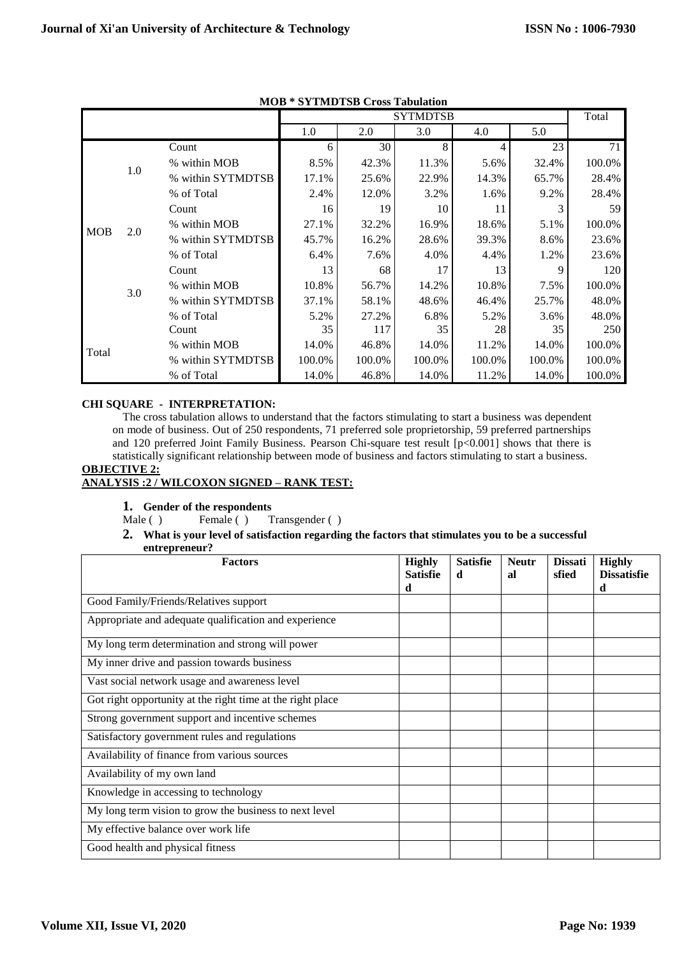|            |     |                   |        |        | <b>SYTMDTSB</b> |        |        | Total  |
|------------|-----|-------------------|--------|--------|-----------------|--------|--------|--------|
|            |     |                   | 1.0    | 2.0    | 3.0             | 4.0    | 5.0    |        |
|            |     | Count             | 6      | 30     | 8               | 4      | 23     | 71     |
|            | 1.0 | % within MOB      | 8.5%   | 42.3%  | 11.3%           | 5.6%   | 32.4%  | 100.0% |
|            |     | % within SYTMDTSB | 17.1%  | 25.6%  | 22.9%           | 14.3%  | 65.7%  | 28.4%  |
|            |     | % of Total        | 2.4%   | 12.0%  | 3.2%            | 1.6%   | 9.2%   | 28.4%  |
|            |     | Count             | 16     | 19     | 10              | 11     |        | 59     |
|            |     | % within MOB      | 27.1%  | 32.2%  | 16.9%           | 18.6%  | 5.1%   | 100.0% |
| <b>MOB</b> | 2.0 | % within SYTMDTSB | 45.7%  | 16.2%  | 28.6%           | 39.3%  | 8.6%   | 23.6%  |
|            |     | % of Total        | 6.4%   | 7.6%   | 4.0%            | 4.4%   | 1.2%   | 23.6%  |
|            |     | Count             | 13     | 68     | 17              | 13     | 9      | 120    |
|            |     | % within MOB      | 10.8%  | 56.7%  | 14.2%           | 10.8%  | 7.5%   | 100.0% |
|            | 3.0 | % within SYTMDTSB | 37.1%  | 58.1%  | 48.6%           | 46.4%  | 25.7%  | 48.0%  |
|            |     | % of Total        | 5.2%   | 27.2%  | 6.8%            | 5.2%   | 3.6%   | 48.0%  |
|            |     | Count             | 35     | 117    | 35              | 28     | 35     | 250    |
| Total      |     | % within MOB      | 14.0%  | 46.8%  | 14.0%           | 11.2%  | 14.0%  | 100.0% |
|            |     | % within SYTMDTSB | 100.0% | 100.0% | 100.0%          | 100.0% | 100.0% | 100.0% |
|            |     | % of Total        | 14.0%  | 46.8%  | 14.0%           | 11.2%  | 14.0%  | 100.0% |

**MOB \* SYTMDTSB Cross Tabulation**

# **CHI SQUARE - INTERPRETATION:**

The cross tabulation allows to understand that the factors stimulating to start a business was dependent on mode of business. Out of 250 respondents, 71 preferred sole proprietorship, 59 preferred partnerships and 120 preferred Joint Family Business. Pearson Chi-square test result [p<0.001] shows that there is statistically significant relationship between mode of business and factors stimulating to start a business.

#### **OBJECTIVE 2: ANALYSIS :2 / WILCOXON SIGNED – RANK TEST:**

# **1. Gender of the respondents**

Male ( ) Female ( ) Transgender ( )

# **2. What is your level of satisfaction regarding the factors that stimulates you to be a successful**

| entrepreneur? |
|---------------|
|---------------|

| <b>Factors</b>                                             | <b>Highly</b><br><b>Satisfie</b><br>d | <b>Satisfie</b><br>d | <b>Neutr</b><br>al | <b>Dissati</b><br>sfied | <b>Highly</b><br><b>Dissatisfie</b><br>d |
|------------------------------------------------------------|---------------------------------------|----------------------|--------------------|-------------------------|------------------------------------------|
| Good Family/Friends/Relatives support                      |                                       |                      |                    |                         |                                          |
| Appropriate and adequate qualification and experience      |                                       |                      |                    |                         |                                          |
| My long term determination and strong will power           |                                       |                      |                    |                         |                                          |
| My inner drive and passion towards business                |                                       |                      |                    |                         |                                          |
| Vast social network usage and awareness level              |                                       |                      |                    |                         |                                          |
| Got right opportunity at the right time at the right place |                                       |                      |                    |                         |                                          |
| Strong government support and incentive schemes            |                                       |                      |                    |                         |                                          |
| Satisfactory government rules and regulations              |                                       |                      |                    |                         |                                          |
| Availability of finance from various sources               |                                       |                      |                    |                         |                                          |
| Availability of my own land                                |                                       |                      |                    |                         |                                          |
| Knowledge in accessing to technology                       |                                       |                      |                    |                         |                                          |
| My long term vision to grow the business to next level     |                                       |                      |                    |                         |                                          |
| My effective balance over work life                        |                                       |                      |                    |                         |                                          |
| Good health and physical fitness                           |                                       |                      |                    |                         |                                          |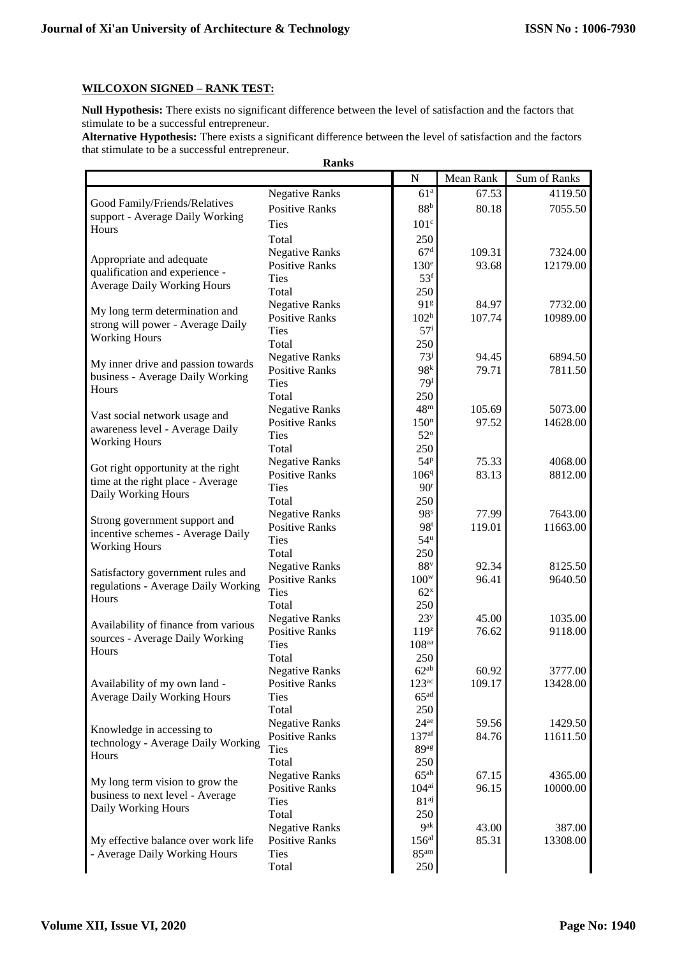## **WILCOXON SIGNED - RANK TEST:**

Null Hypothesis: There exists no significant difference between the level of satisfaction and the factors that stimulate to be a successful entrepreneur.

Alternative Hypothesis: There exists a significant difference between the level of satisfaction and the factors that stimulate to be a successful entrepreneur.

| <b>Ranks</b>                         |                       |                            |           |              |  |  |  |  |  |  |
|--------------------------------------|-----------------------|----------------------------|-----------|--------------|--|--|--|--|--|--|
|                                      |                       | ${\bf N}$                  | Mean Rank | Sum of Ranks |  |  |  |  |  |  |
|                                      | <b>Negative Ranks</b> | 61 <sup>a</sup>            | 67.53     | 4119.50      |  |  |  |  |  |  |
| Good Family/Friends/Relatives        | <b>Positive Ranks</b> | 88 <sup>b</sup>            | 80.18     | 7055.50      |  |  |  |  |  |  |
| support - Average Daily Working      | <b>Ties</b>           | 101 <sup>c</sup>           |           |              |  |  |  |  |  |  |
| Hours                                | Total                 | 250                        |           |              |  |  |  |  |  |  |
|                                      | <b>Negative Ranks</b> | 67 <sup>d</sup>            | 109.31    | 7324.00      |  |  |  |  |  |  |
| Appropriate and adequate             | <b>Positive Ranks</b> | 130 <sup>e</sup>           | 93.68     | 12179.00     |  |  |  |  |  |  |
| qualification and experience -       | <b>Ties</b>           | 53 <sup>f</sup>            |           |              |  |  |  |  |  |  |
| <b>Average Daily Working Hours</b>   | Total                 | 250                        |           |              |  |  |  |  |  |  |
|                                      | <b>Negative Ranks</b> | 91g                        | 84.97     | 7732.00      |  |  |  |  |  |  |
| My long term determination and       | <b>Positive Ranks</b> | 102 <sup>h</sup>           | 107.74    | 10989.00     |  |  |  |  |  |  |
| strong will power - Average Daily    | <b>Ties</b>           | 57 <sup>i</sup>            |           |              |  |  |  |  |  |  |
| <b>Working Hours</b>                 | Total                 | 250                        |           |              |  |  |  |  |  |  |
|                                      | <b>Negative Ranks</b> | $73^{\mathrm{j}}$          | 94.45     | 6894.50      |  |  |  |  |  |  |
| My inner drive and passion towards   | <b>Positive Ranks</b> | 98 <sup>k</sup>            | 79.71     | 7811.50      |  |  |  |  |  |  |
| business - Average Daily Working     | <b>Ties</b>           | 79 <sup>1</sup>            |           |              |  |  |  |  |  |  |
| Hours                                | Total                 | 250                        |           |              |  |  |  |  |  |  |
| Vast social network usage and        | <b>Negative Ranks</b> | 48 <sup>m</sup>            | 105.69    | 5073.00      |  |  |  |  |  |  |
| awareness level - Average Daily      | <b>Positive Ranks</b> | 150 <sup>n</sup>           | 97.52     | 14628.00     |  |  |  |  |  |  |
| <b>Working Hours</b>                 | <b>Ties</b>           | $52^{\circ}$               |           |              |  |  |  |  |  |  |
|                                      | Total                 | 250                        |           |              |  |  |  |  |  |  |
| Got right opportunity at the right   | <b>Negative Ranks</b> | 54P                        | 75.33     | 4068.00      |  |  |  |  |  |  |
| time at the right place - Average    | <b>Positive Ranks</b> | 1069                       | 83.13     | 8812.00      |  |  |  |  |  |  |
| Daily Working Hours                  | <b>Ties</b>           | 90 <sup>r</sup>            |           |              |  |  |  |  |  |  |
|                                      | Total                 | 250                        |           |              |  |  |  |  |  |  |
| Strong government support and        | <b>Negative Ranks</b> | 98 <sup>s</sup>            | 77.99     | 7643.00      |  |  |  |  |  |  |
| incentive schemes - Average Daily    | <b>Positive Ranks</b> | 98 <sup>t</sup>            | 119.01    | 11663.00     |  |  |  |  |  |  |
| <b>Working Hours</b>                 | Ties                  | 54 <sup>u</sup>            |           |              |  |  |  |  |  |  |
|                                      | Total                 | 250                        |           |              |  |  |  |  |  |  |
| Satisfactory government rules and    | <b>Negative Ranks</b> | 88 <sup>v</sup>            | 92.34     | 8125.50      |  |  |  |  |  |  |
| regulations - Average Daily Working  | <b>Positive Ranks</b> | $100^w$<br>62 <sup>x</sup> | 96.41     | 9640.50      |  |  |  |  |  |  |
| Hours                                | <b>Ties</b><br>Total  | 250                        |           |              |  |  |  |  |  |  |
|                                      | <b>Negative Ranks</b> | 23 <sup>y</sup>            | 45.00     | 1035.00      |  |  |  |  |  |  |
| Availability of finance from various | <b>Positive Ranks</b> | $119^z$                    | 76.62     | 9118.00      |  |  |  |  |  |  |
| sources - Average Daily Working      | <b>Ties</b>           | 108 <sup>aa</sup>          |           |              |  |  |  |  |  |  |
| Hours                                | Total                 | 250                        |           |              |  |  |  |  |  |  |
|                                      | <b>Negative Ranks</b> | $62^{ab}$                  | 60.92     | 3777.00      |  |  |  |  |  |  |
| Availability of my own land -        | <b>Positive Ranks</b> | 123 <sup>ac</sup>          | 109.17    | 13428.00     |  |  |  |  |  |  |
| <b>Average Daily Working Hours</b>   | <b>Ties</b>           | 65 <sup>ad</sup>           |           |              |  |  |  |  |  |  |
|                                      | Total                 | 250                        |           |              |  |  |  |  |  |  |
|                                      | <b>Negative Ranks</b> | $24^{ae}$                  | 59.56     | 1429.50      |  |  |  |  |  |  |
| Knowledge in accessing to            | <b>Positive Ranks</b> | 137 <sup>af</sup>          | 84.76     | 11611.50     |  |  |  |  |  |  |
| technology - Average Daily Working   | <b>Ties</b>           | 89ag                       |           |              |  |  |  |  |  |  |
| Hours                                | Total                 | 250                        |           |              |  |  |  |  |  |  |
|                                      | <b>Negative Ranks</b> | 65 <sup>ah</sup>           | 67.15     | 4365.00      |  |  |  |  |  |  |
| My long term vision to grow the      | <b>Positive Ranks</b> | 104 <sup>ai</sup>          | 96.15     | 10000.00     |  |  |  |  |  |  |
| business to next level - Average     | <b>Ties</b>           | 81 <sup>aj</sup>           |           |              |  |  |  |  |  |  |
| Daily Working Hours                  | Total                 | 250                        |           |              |  |  |  |  |  |  |
|                                      | <b>Negative Ranks</b> | <b>9</b> ak                | 43.00     | 387.00       |  |  |  |  |  |  |
| My effective balance over work life  | <b>Positive Ranks</b> | 156 <sup>al</sup>          | 85.31     | 13308.00     |  |  |  |  |  |  |
| - Average Daily Working Hours        | <b>Ties</b>           | 85 <sup>am</sup>           |           |              |  |  |  |  |  |  |
|                                      | Total                 | 250                        |           |              |  |  |  |  |  |  |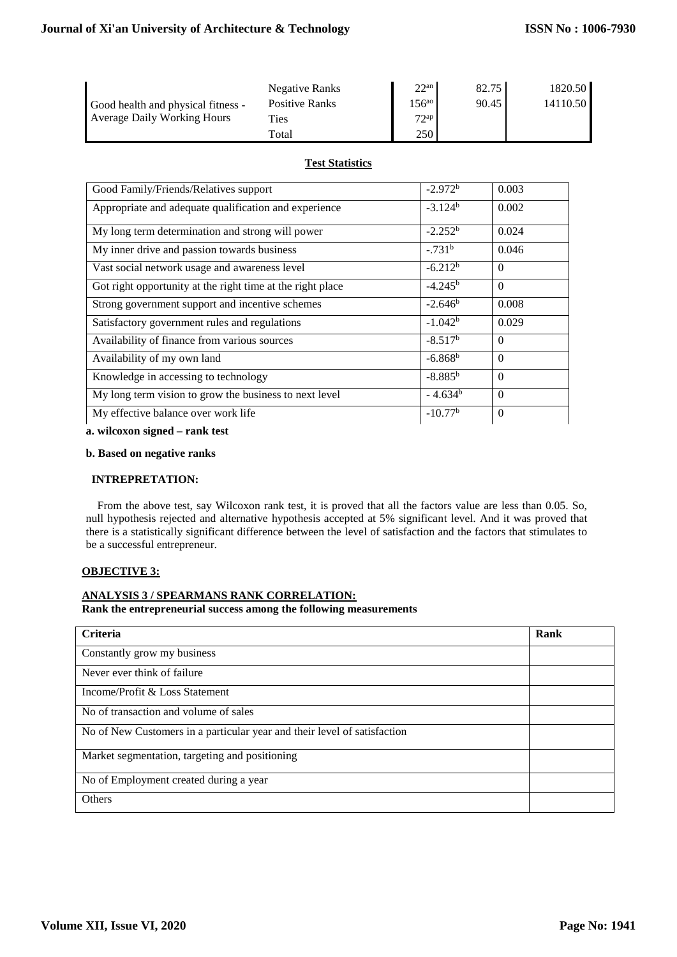|                                    | Negative Ranks      | 22 <sup>an</sup> | 82.75 | 1820.50  |
|------------------------------------|---------------------|------------------|-------|----------|
| Good health and physical fitness - | Positive Ranks      | $156^{a}$        | 90.45 | 14110.50 |
| <b>Average Daily Working Hours</b> | Ties                | $72^{ap}$        |       |          |
|                                    | $_{\rm \sigmaatal}$ | 250              |       |          |

## **Test Statistics**

| Good Family/Friends/Relatives support                      | $-2.972^b$       | 0.003    |
|------------------------------------------------------------|------------------|----------|
| Appropriate and adequate qualification and experience      | $-3.124b$        | 0.002    |
| My long term determination and strong will power           | $-2.252^b$       | 0.024    |
| My inner drive and passion towards business                | $-0.731^{b}$     | 0.046    |
| Vast social network usage and awareness level              | $-6.212b$        | $\Omega$ |
| Got right opportunity at the right time at the right place | $-4.245^{\rm b}$ | $\theta$ |
| Strong government support and incentive schemes            | $-2.646^b$       | 0.008    |
| Satisfactory government rules and regulations              | $-1.042b$        | 0.029    |
| Availability of finance from various sources               | $-8.517b$        | $\Omega$ |
| Availability of my own land                                | $-6.868b$        | $\Omega$ |
| Knowledge in accessing to technology                       | $-8.885^{b}$     | $\Omega$ |
| My long term vision to grow the business to next level     | $-4.634^b$       | $\Omega$ |
| My effective balance over work life                        | $-10.77b$        | $\Omega$ |

**a. wilcoxon signed – rank test**

#### **b. Based on negative ranks**

#### **INTREPRETATION:**

 From the above test, say Wilcoxon rank test, it is proved that all the factors value are less than 0.05. So, null hypothesis rejected and alternative hypothesis accepted at 5% significant level. And it was proved that there is a statistically significant difference between the level of satisfaction and the factors that stimulates to be a successful entrepreneur.

## **OBJECTIVE 3:**

# **ANALYSIS 3 / SPEARMANS RANK CORRELATION:**

**Rank the entrepreneurial success among the following measurements**

| <b>Criteria</b>                                                          | Rank |
|--------------------------------------------------------------------------|------|
| Constantly grow my business                                              |      |
| Never ever think of failure                                              |      |
| Income/Profit & Loss Statement                                           |      |
| No of transaction and volume of sales                                    |      |
| No of New Customers in a particular year and their level of satisfaction |      |
| Market segmentation, targeting and positioning                           |      |
| No of Employment created during a year                                   |      |
| <b>Others</b>                                                            |      |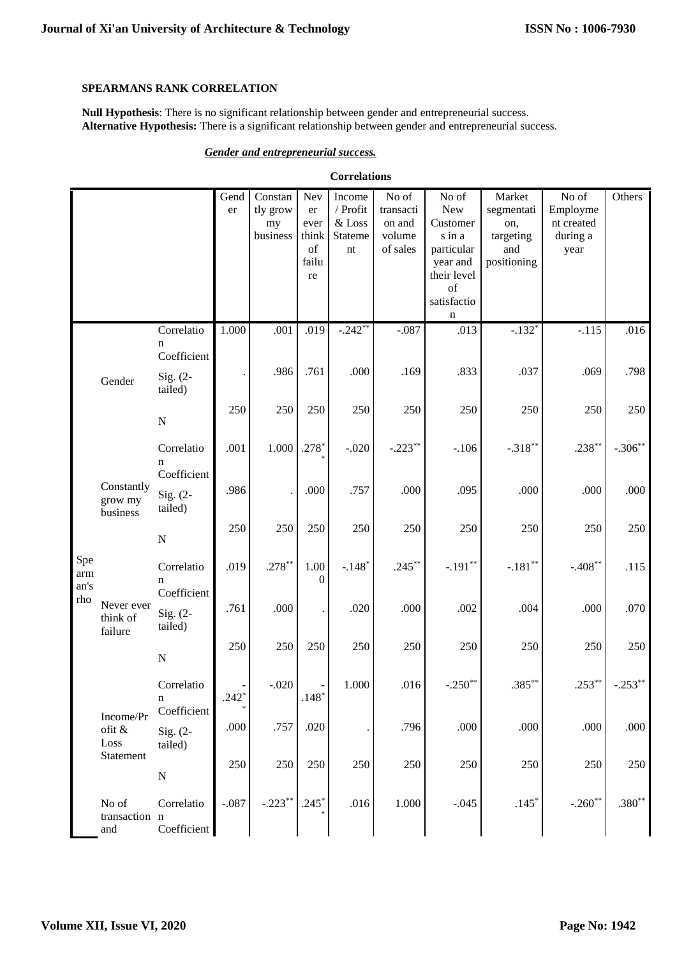## SPEARMANS RANK CORRELATION

Null Hypothesis: There is no significant relationship between gender and entrepreneurial success. Alternative Hypothesis: There is a significant relationship between gender and entrepreneurial success.

## **Gender and entrepreneurial success.**

| <b>Correlations</b> |                                   |                                      |            |                                       |                                                                      |                                                      |                                                    |                                                                                                       |                                                                |                                                     |           |
|---------------------|-----------------------------------|--------------------------------------|------------|---------------------------------------|----------------------------------------------------------------------|------------------------------------------------------|----------------------------------------------------|-------------------------------------------------------------------------------------------------------|----------------------------------------------------------------|-----------------------------------------------------|-----------|
|                     |                                   |                                      | Gend<br>er | Constan<br>tly grow<br>my<br>business | Nev<br>$\operatorname{\sf er}$<br>ever<br>think<br>of<br>failu<br>re | Income<br>/ Profit<br>& Loss<br><b>Stateme</b><br>nt | No of<br>transacti<br>on and<br>volume<br>of sales | No of<br>New<br>Customer<br>s in a<br>particular<br>year and<br>their level<br>of<br>satisfactio<br>n | Market<br>segmentati<br>on,<br>targeting<br>and<br>positioning | No of<br>Employme<br>nt created<br>during a<br>year | Others    |
|                     |                                   | Correlatio<br>n                      | 1.000      | .001                                  | .019                                                                 | $-242**$                                             | $-.087$                                            | .013                                                                                                  | $-.132*$                                                       | $-.115$                                             | .016      |
|                     | Gender                            | Coefficient<br>Sig. $(2-$<br>tailed) |            | .986                                  | .761                                                                 | .000                                                 | .169                                               | .833                                                                                                  | .037                                                           | .069                                                | .798      |
|                     |                                   | ${\bf N}$                            | 250        | 250                                   | 250                                                                  | 250                                                  | 250                                                | 250                                                                                                   | 250                                                            | 250                                                 | 250       |
|                     |                                   | Correlatio<br>n<br>Coefficient       | .001       | 1.000                                 | $.278*$                                                              | $-.020$                                              | $-.223**$                                          | $-.106$                                                                                               | $-.318**$                                                      | $.238***$                                           | $-.306**$ |
|                     | Constantly<br>grow my<br>business | Sig. $(2-$<br>tailed)                | .986       |                                       | .000                                                                 | .757                                                 | .000                                               | .095                                                                                                  | .000                                                           | .000                                                | .000      |
|                     |                                   | ${\bf N}$                            | 250        | 250                                   | 250                                                                  | 250                                                  | 250                                                | 250                                                                                                   | 250                                                            | 250                                                 | 250       |
| Spe<br>arm<br>an's  |                                   | Correlatio<br>n<br>Coefficient       | .019       | $.278***$                             | 1.00<br>$\mathbf{0}$                                                 | $-.148*$                                             | $.245***$                                          | $-.191**$                                                                                             | $-.181**$                                                      | $-.408**$                                           | .115      |
| rho                 | Never ever<br>think of<br>failure | Sig. $(2-$<br>tailed)                | .761       | .000                                  | $\bullet$                                                            | .020                                                 | .000                                               | .002                                                                                                  | .004                                                           | .000                                                | .070      |
|                     |                                   | ${\bf N}$                            | 250        | 250                                   | 250                                                                  | 250                                                  | 250                                                | 250                                                                                                   | 250                                                            | 250                                                 | 250       |
|                     | Income/Pr                         | Correlatio<br>n<br>Coefficient       | $.242*$    | $-.020$                               | $.148*$                                                              | 1.000                                                | .016                                               | $-.250$ **                                                                                            | $.385***$                                                      | $.253***$                                           | $-.253**$ |
|                     | ofit &<br>Loss                    | Sig. $(2-$<br>tailed)                | .000       | .757                                  | .020                                                                 |                                                      | .796                                               | .000                                                                                                  | .000                                                           | .000                                                | .000      |
|                     | Statement                         | ${\bf N}$                            | 250        | 250                                   | 250                                                                  | 250                                                  | 250                                                | 250                                                                                                   | 250                                                            | 250                                                 | 250       |
|                     | No of<br>transaction n<br>and     | Correlatio<br>Coefficient            | $-.087$    | $-.223**$                             | $.245*$                                                              | .016                                                 | 1.000                                              | $-.045$                                                                                               | $.145*$                                                        | $-.260**$                                           | $.380**$  |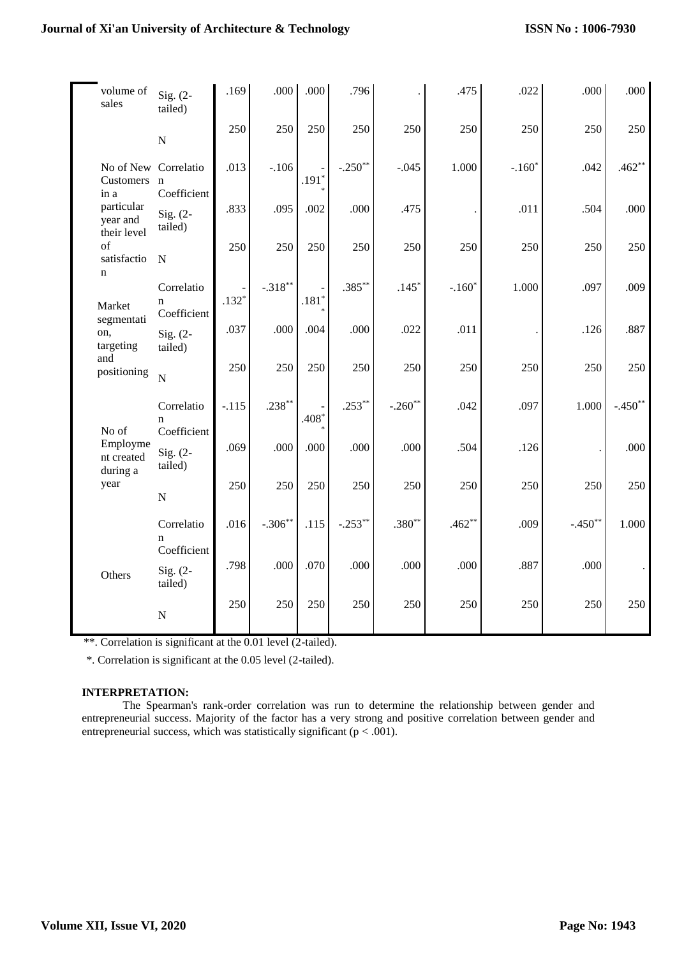# **Journal of Xi'an University of Architecture & Technology**

| volume of<br>sales                        | Sig. $(2-$<br>tailed)                    | .169    | .000         | .000    | .796      |           | .475     | .022     | .000      | .000      |
|-------------------------------------------|------------------------------------------|---------|--------------|---------|-----------|-----------|----------|----------|-----------|-----------|
|                                           | ${\bf N}$                                | 250     | 250          | 250     | 250       | 250       | 250      | 250      | 250       | 250       |
| No of New Correlatio<br>Customers<br>in a | $\mathbf n$<br>Coefficient               | .013    | $-.106$      | $.191*$ | $-.250**$ | $-.045$   | 1.000    | $-.160*$ | .042      | $.462**$  |
| particular<br>year and<br>their level     | Sig. $(2-$<br>tailed)                    | .833    | .095         | .002    | .000      | .475      |          | .011     | .504      | .000      |
| of<br>satisfactio<br>$\mathbf n$          | $\mathbf N$                              | 250     | 250          | 250     | 250       | 250       | 250      | 250      | 250       | 250       |
| Market                                    | Correlatio<br>$\mathbf n$<br>Coefficient | $.132*$ | $-.318^{**}$ | $.181*$ | $.385***$ | $.145*$   | $-.160*$ | 1.000    | .097      | .009      |
| segmentati<br>on,<br>targeting            | Sig. $(2-$<br>tailed)                    | .037    | .000         | .004    | .000      | .022      | .011     |          | .126      | .887      |
| and<br>positioning                        | $\mathbf N$                              | 250     | 250          | 250     | 250       | 250       | 250      | 250      | 250       | 250       |
| No of                                     | Correlatio<br>$\mathbf n$<br>Coefficient | $-.115$ | $.238***$    | .408*   | $.253**$  | $-.260**$ | .042     | .097     | 1.000     | $-.450**$ |
| Employme<br>nt created<br>during a        | Sig. $(2-$<br>tailed)                    | .069    | .000         | .000    | .000      | .000      | .504     | .126     |           | .000      |
| year                                      | ${\bf N}$                                | 250     | 250          | 250     | 250       | 250       | 250      | 250      | 250       | 250       |
|                                           | Correlatio<br>$\mathbf n$<br>Coefficient | .016    | $-.306**$    | .115    | $-.253**$ | $.380**$  | $.462**$ | .009     | $-.450**$ | 1.000     |
| Others                                    | Sig. $(2 -$<br>tailed)                   | .798    | .000         | .070    | .000      | .000      | .000     | .887     | .000      |           |
|                                           | ${\bf N}$                                | 250     | 250          | 250     | 250       | 250       | 250      | 250      | 250       | 250       |

\*\*. Correlation is significant at the 0.01 level (2-tailed).

\*. Correlation is significant at the 0.05 level (2-tailed).

## **INTERPRETATION:**

The Spearman's rank-order correlation was run to determine the relationship between gender and entrepreneurial success. Majority of the factor has a very strong and positive correlation between gender and entrepreneurial success, which was statistically significant ( $p < .001$ ).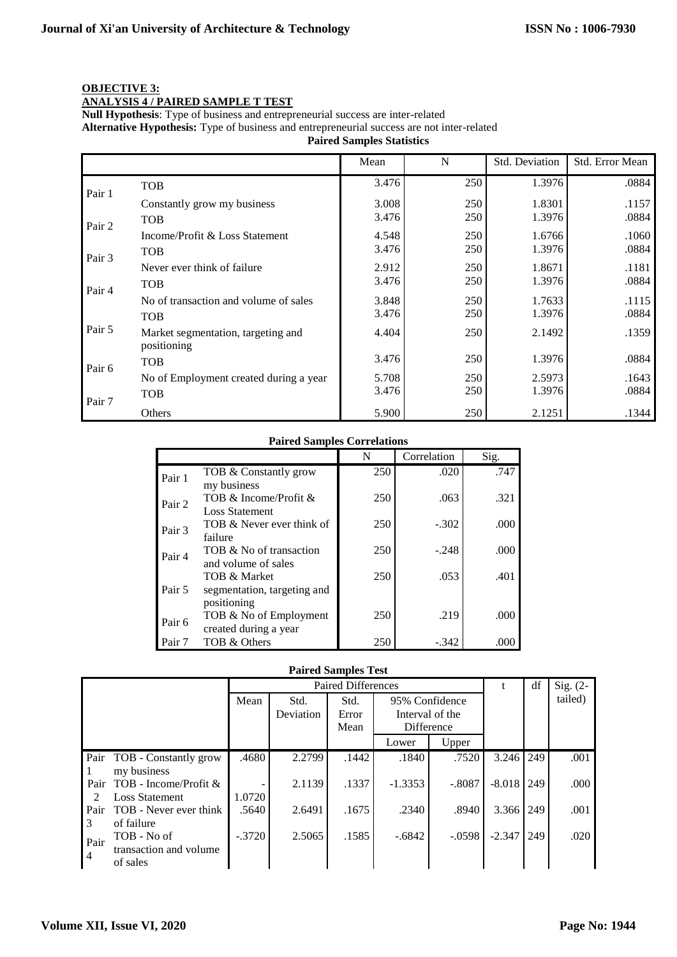# **OBJECTIVE 3:**

# **ANALYSIS 4 / PAIRED SAMPLE T TEST**

**Null Hypothesis**: Type of business and entrepreneurial success are inter-related

**Alternative Hypothesis:** Type of business and entrepreneurial success are not inter-related

**Paired Samples Statistics**

|        |                                                   | Mean  | N   | Std. Deviation | Std. Error Mean |
|--------|---------------------------------------------------|-------|-----|----------------|-----------------|
|        | <b>TOB</b>                                        | 3.476 | 250 | 1.3976         | .0884           |
| Pair 1 | Constantly grow my business                       | 3.008 | 250 | 1.8301         | .1157           |
| Pair 2 | <b>TOB</b>                                        | 3.476 | 250 | 1.3976         | .0884           |
|        | Income/Profit & Loss Statement                    | 4.548 | 250 | 1.6766         | .1060           |
| Pair 3 | <b>TOB</b>                                        | 3.476 | 250 | 1.3976         | .0884           |
|        | Never ever think of failure                       | 2.912 | 250 | 1.8671         | .1181           |
|        | <b>TOB</b>                                        | 3.476 | 250 | 1.3976         | .0884           |
| Pair 4 | No of transaction and volume of sales             | 3.848 | 250 | 1.7633         | .1115           |
|        | <b>TOB</b>                                        | 3.476 | 250 | 1.3976         | .0884           |
| Pair 5 | Market segmentation, targeting and<br>positioning | 4.404 | 250 | 2.1492         | .1359           |
| Pair 6 | <b>TOB</b>                                        | 3.476 | 250 | 1.3976         | .0884           |
|        | No of Employment created during a year            | 5.708 | 250 | 2.5973         | .1643           |
|        | <b>TOB</b>                                        | 3.476 | 250 | 1.3976         | .0884           |
| Pair 7 | Others                                            | 5.900 | 250 | 2.1251         | .1344           |

## **Paired Samples Correlations**

|                   |                             | N   | Correlation | Sig. |
|-------------------|-----------------------------|-----|-------------|------|
| Pair 1            | TOB & Constantly grow       | 250 | .020        | .747 |
|                   | my business                 |     |             |      |
| Pair 2            | TOB & Income/Profit &       | 250 | .063        | .321 |
|                   | <b>Loss Statement</b>       |     |             |      |
| Pair 3            | TOB & Never ever think of   | 250 | $-.302$     | .000 |
|                   | failure                     |     |             |      |
| Pair 4            | TOB & No of transaction     | 250 | $-.248$     | .000 |
|                   | and volume of sales         |     |             |      |
| Pair 5            | TOB & Market                | 250 | .053        | .401 |
|                   | segmentation, targeting and |     |             |      |
|                   | positioning                 |     |             |      |
| Pair <sub>6</sub> | TOB & No of Employment      | 250 | .219        | .000 |
|                   | created during a year       |     |             |      |
| Pair 7            | TOB & Others                | 250 | -.342       | .000 |

#### **Paired Samples Test**

|                |                         | <b>Paired Differences</b> |                   |                       |                                                 |          | t        | df  | Sig. $(2-$ |
|----------------|-------------------------|---------------------------|-------------------|-----------------------|-------------------------------------------------|----------|----------|-----|------------|
|                |                         | Mean                      | Std.<br>Deviation | Std.<br>Error<br>Mean | 95% Confidence<br>Interval of the<br>Difference |          |          |     | tailed)    |
|                |                         |                           |                   |                       | Lower                                           | Upper    |          |     |            |
| Pair           | TOB - Constantly grow   | .4680                     | 2.2799            | .1442                 | .1840                                           | .7520    | 3.246    | 249 | .001       |
|                | my business             |                           |                   |                       |                                                 |          |          |     |            |
| Pair           | TOB - Income/Profit $&$ |                           | 2.1139            | .1337                 | $-1.3353$                                       | $-.8087$ | $-8.018$ | 249 | .000.      |
| 2              | <b>Loss Statement</b>   | 1.0720                    |                   |                       |                                                 |          |          |     |            |
| Pair           | TOB - Never ever think  | .5640                     | 2.6491            | .1675                 | .2340                                           | .8940    | 3.366    | 249 | .001       |
| 3              | of failure              |                           |                   |                       |                                                 |          |          |     |            |
| Pair           | TOB - No of             | $-.3720$                  | 2.5065            | .1585                 | $-.6842$                                        | $-.0598$ | $-2.347$ | 249 | .020       |
| $\overline{4}$ | transaction and volume  |                           |                   |                       |                                                 |          |          |     |            |
|                | of sales                |                           |                   |                       |                                                 |          |          |     |            |